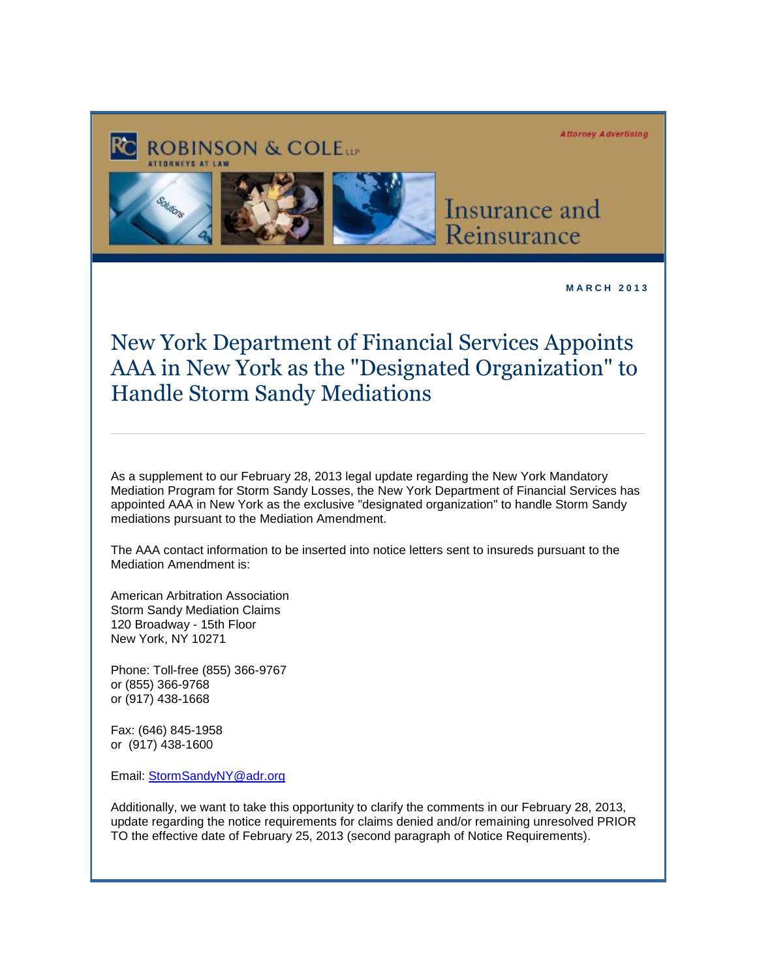

**M A R C H 2 0 1 3** 

## New York Department of Financial Services Appoints AAA in New York as the "Designated Organization" to Handle Storm Sandy Mediations

As a supplement to our February 28, 2013 legal update regarding the New York Mandatory Mediation Program for Storm Sandy Losses, the New York Department of Financial Services has appointed AAA in New York as the exclusive "designated organization" to handle Storm Sandy mediations pursuant to the Mediation Amendment.

The AAA contact information to be inserted into notice letters sent to insureds pursuant to the Mediation Amendment is:

American Arbitration Association Storm Sandy Mediation Claims 120 Broadway - 15th Floor New York, NY 10271

Phone: Toll-free (855) 366-9767 or (855) 366-9768 or (917) 438-1668

Fax: (646) 845-1958 or (917) 438-1600

Email: [StormSandyNY@adr.org](mailto:StormSandyNY@adr.org)

Additionally, we want to take this opportunity to clarify the comments in our February 28, 2013, update regarding the notice requirements for claims denied and/or remaining unresolved PRIOR TO the effective date of February 25, 2013 (second paragraph of Notice Requirements).